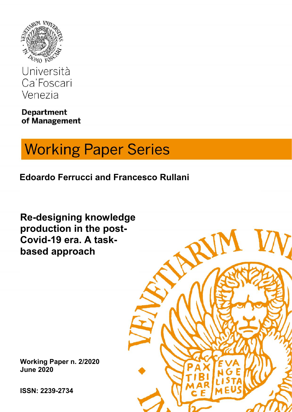

Università Ca'Foscari Venezia

**Department** of Management

# **Working Paper Series**

**Edoardo Ferrucci and Francesco Rullani**

**Re-designing knowledge production in the post- Covid-19 era. A task based approach**

**Working Paper n. 1/2011 Working Paper n. 2/2020 Month 2011 June 2020**

**ISSN: 1828-xxx ISSN: 2239-2734**

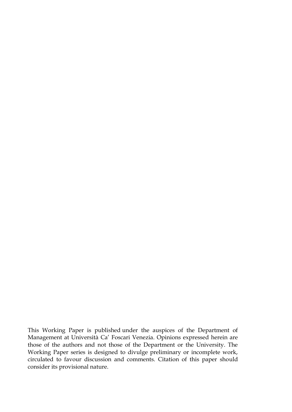This Working Paper is published under the auspices of the Department of Management at Università Ca' Foscari Venezia. Opinions expressed herein are those of the authors and not those of the Department or the University. The Working Paper series is designed to divulge preliminary or incomplete work, circulated to favour discussion and comments. Citation of this paper should consider its provisional nature.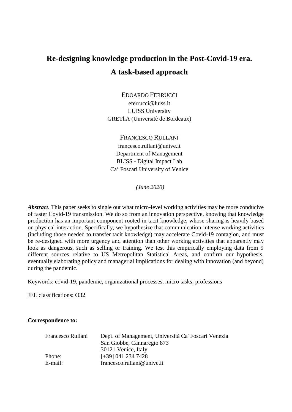# **Re-designing knowledge production in the Post-Covid-19 era. A task-based approach**

EDOARDO FERRUCCI eferrucci@luiss.it LUISS University GREThA (Universitè de Bordeaux)

FRANCESCO RULLANI francesco.rullani@unive.it Department of Management BLISS - Digital Impact Lab Ca' Foscari University of Venice

*(June 2020)*

*Abstract.* This paper seeks to single out what micro-level working activities may be more conducive of faster Covid-19 transmission. We do so from an innovation perspective, knowing that knowledge production has an important component rooted in tacit knowledge, whose sharing is heavily based on physical interaction. Specifically, we hypothesize that communication-intense working activities (including those needed to transfer tacit knowledge) may accelerate Covid-19 contagion, and must be re-designed with more urgency and attention than other working activities that apparently may look as dangerous, such as selling or training. We test this empirically employing data from 9 different sources relative to US Metropolitan Statistical Areas, and confirm our hypothesis, eventually elaborating policy and managerial implications for dealing with innovation (and beyond) during the pandemic.

Keywords: covid-19, pandemic, organizational processes, micro tasks, professions

JEL classifications: O32

#### **Correspondence to:**

| Francesco Rullani | Dept. of Management, Università Ca' Foscari Venezia |
|-------------------|-----------------------------------------------------|
|                   | San Giobbe, Cannaregio 873                          |
|                   | 30121 Venice, Italy                                 |
| Phone:            | $[-39]$ 041 234 7428                                |
| E-mail:           | francesco.rullani@unive.it                          |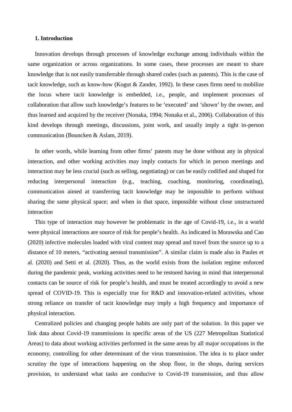#### **1. Introduction**

Innovation develops through processes of knowledge exchange among individuals within the same organization or across organizations. In some cases, these processes are meant to share knowledge that is not easily transferrable through shared codes (such as patents). This is the case of tacit knowledge, such as know-how (Kogut & Zander, 1992). In these cases firms need to mobilize the locus where tacit knowledge is embedded, i.e., people, and implement processes of collaboration that allow such knowledge's features to be 'executed' and 'shown' by the owner, and thus learned and acquired by the receiver (Nonaka, 1994; Nonaka et al., 2006). Collaboration of this kind develops through meetings, discussions, joint work, and usually imply a tight in-person communication (Bouncken & Aslam, 2019).

In other words, while learning from other firms' patents may be done without any in physical interaction, and other working activities may imply contacts for which in person meetings and interaction may be less crucial (such as selling, negotiating) or can be easily codified and shaped for reducing interpersonal interaction (e.g., teaching, coaching, monitoring, coordinating), communication aimed at transferring tacit knowledge may be impossible to perform without sharing the same physical space; and when in that space, impossible without close unstructured interaction

This type of interaction may however be problematic in the age of Covid-19, i.e., in a world were physical interactions are source of risk for people's health. As indicated in Morawska and Cao (2020) infective molecules loaded with viral content may spread and travel from the source up to a distance of 10 meters, "activating aerosol transmission". A similar claim is made also in Paules et al. (2020) and Setti et al. (2020). Thus, as the world exists from the isolation regime enforced during the pandemic peak, working activities need to be restored having in mind that interpersonal contacts can be source of risk for people's health, and must be treated accordingly to avoid a new spread of COVID-19. This is especially true for R&D and innovation-related activities, whose strong reliance on transfer of tacit knowledge may imply a high frequency and importance of physical interaction.

Centralized policies and changing people habits are only part of the solution. In this paper we link data about Covid-19 transmissions in specific areas of the US (227 Metropolitan Statistical Areas) to data about working activities performed in the same areas by all major occupations in the economy, controlling for other determinant of the virus transmission. The idea is to place under scrutiny the type of interactions happening on the shop floor, in the shops, during services provision, to understand what tasks are conducive to Covid-19 transmission, and thus allow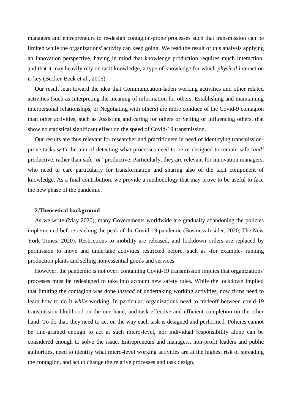managers and entrepreneurs to re-design contagion-prone processes such that transmission can be limited while the organizations' activity can keep going. We read the result of this analysis applying an innovation perspective, having in mind that knowledge production requires much interaction, and that it may heavily rely on tacit knowledge, a type of knowledge for which *physical* interaction is key (Becker-Beck et al., 2005).

Our result lean toward the idea that Communication-laden working activities and other related activities (such as Interpreting the meaning of information for others, Establishing and maintaining interpersonal relationships, or Negotiating with others) are more conduce of the Covid-9 contagion than other activities, such as Assisting and caring for others or Selling or influencing others, that show no statistical significant effect on the speed of Covid-19 transmission.

Our results are thus relevant for researcher and practitioners in need of identifying transmission prone tasks with the aim of detecting what processes need to be re-designed to remain safe '*and'* productive, rather than safe '*or'* productive. Particularly, they are relevant for innovation managers, who need to care particularly for transformation and sharing also of the tacit component of knowledge. As a final contribution, we provide a methodology that may prove to be useful to face the new phase of the pandemic.

#### **2.Theoretical background**

As we write (May 2020), many Governments worldwide are gradually abandoning the policies implemented before reaching the peak of the Covid-19 pandemic (Business Insider, 2020; The New York Times, 2020). Restrictions to mobility are released, and lockdown orders are replaced by permission to move and undertake activities restricted before, such as -for example- running production plants and selling non-essential goods and services.

However, the pandemic is not over: containing Covid-19 transmission implies that organizations' processes must be redesigned to take into account new safety rules. While the lockdown implied that limiting the contagion was done *instead* of undertaking working activities, now firms need to learn how to do it *while* working. In particular, organizations need to tradeoff between covid-19 transmission likelihood on the one hand, and task effective and efficient completion on the other hand. To do that, they need to act on the way each task is designed and performed. Policies cannot be fine-grained enough to act at such micro-level, nor individual responsibility alone can be considered enough to solve the issue. Entrepreneurs and managers, non-profit leaders and public authorities, need to identify what micro-level working activities are at the highest risk of spreading the contagion, and act to change the relative processes and task design.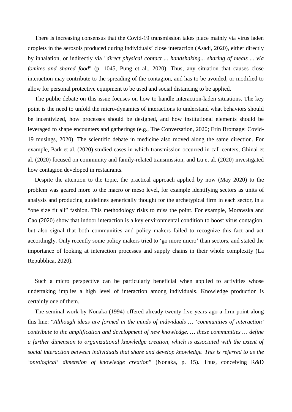There is increasing consensus that the Covid-19 transmission takes place mainly via virus laden droplets in the aerosols produced during individuals' close interaction (Asadi, 2020), either directly by inhalation, or indirectly via "*direct physical contact ... handshaking... sharing of meals ... via fomites and shared food*" (p. 1045, Pung et al., 2020). Thus, any situation that causes close interaction may contribute to the spreading of the contagion, and has to be avoided, or modified to allow for personal protective equipment to be used and social distancing to be applied.

The public debate on this issue focuses on how to handle interaction-laden situations. The key point is the need to unfold the micro-dynamics of interactions to understand what behaviors should be incentivized, how processes should be designed, and how institutional elements should be leveraged to shape encounters and gatherings (e.g., The Conversation, 2020; Erin Bromage: Covid- 19 musings, 2020). The scientific debate in medicine also moved along the same direction. For example, Park et al. (2020) studied cases in which transmission occurred in call centers, Ghinai et al. (2020) focused on community and family-related transmission, and Lu et al. (2020) investigated how contagion developed in restaurants.

Despite the attention to the topic, the practical approach applied by now (May 2020) to the problem was geared more to the macro or meso level, for example identifying sectors as units of analysis and producing guidelines generically thought for the archetypical firm in each sector, in a "one size fit all" fashion. This methodology risks to miss the point. For example, Morawska and Cao (2020) show that indoor interaction is a key environmental condition to boost virus contagion, but also signal that both communities and policy makers failed to recognize this fact and act accordingly. Only recently some policy makers tried to 'go more micro' than sectors, and stated the importance of looking at interaction processes and supply chains in their whole complexity (La Repubblica, 2020).

Such a micro perspective can be particularly beneficial when applied to activities whose undertaking implies a high level of interaction among individuals. Knowledge production is certainly one of them.

The seminal work by Nonaka (1994) offered already twenty-five years ago a firm point along this line: "*Although ideas are formed in the minds of individuals … 'communities of interaction' contribute to the amplification and development of new knowledge. … these communities … define a further dimension to organizational knowledge creation, which is associated with the extent of social interaction between individuals that share and develop knowledge. This is referred to as the 'ontological' dimension of knowledge creation*" (Nonaka, p. 15). Thus, conceiving R&D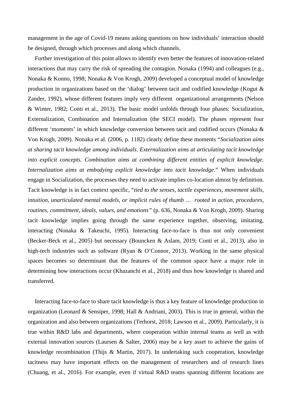management in the age of Covid-19 means asking questions on how individuals' interaction should be designed, through which processes and along which channels.

Further investigation of this point allows to identify even better the features of innovation-related interactions that may carry the risk of spreading the contagion. Nonaka (1994) and colleagues (e.g., Nonaka & Konno, 1998; Nonaka & Von Krogh, 2009) developed a conceptual model of knowledge production in organizations based on the 'dialog' between tacit and codified knowledge (Kogut & Zander, 1992), whose different features imply very different organizational arrangements (Nelson & Winter, 1982; Conti et al., 2013). The basic model unfolds through four phases: Socialization, Externalization, Combination and Internalization (the SECI model). The phases represent four different 'moments' in which knowledge conversion between tacit and codified occurs (Nonaka & Von Krogh, 2009). Nonaka et al. (2006, p. 1182) clearly define these moments "*Socialization aims at sharing tacit knowledge among individuals. Externalization aims at articulating tacit knowledge into explicit concepts. Combination aims at combining different entities of explicit knowledge. Internalization aims at embodying explicit knowledge into tacit knowledge*." When individuals engage in Socialization, the processes they need to activate implies co-location almost by definition. Tacit knowledge is in fact context specific, "*tied to the senses, tactile experiences, movement skills, intuition, unarticulated mental models, or implicit rules of thumb … rooted in action, procedures, routines, commitment, ideals, values, and emotions"* (p. 636, Nonaka & Von Krogh, 2009). Sharing tacit knowledge implies going through the same experience together, observing, imitating, interacting (Nonaka & Takeuchi, 1995). Interacting face-to-face is thus not only convenient (Becker-Beck et al., 2005) but necessary (Bouncken & Aslam, 2019; Conti et al., 2013), also in high-tech industries such as software (Ryan & O'Connor, 2013). Working in the same physical spaces becomes so determinant that the features of the common space have a major role in determining how interactions occur (Khazanchi et al., 2018) and thus how knowledge is shared and transferred.

Interacting face-to-face to share tacit knowledge is thus a key feature of knowledge production in organization (Leonard & Sensiper, 1998; Hall & Andriani, 2003). This is true in general, within the organization and also between organizations (Terhorst, 2018; Lawson et al., 2009). Particularly, it is true within R&D labs and departments, where cooperation within internal teams as well as with external innovation sources (Laursen & Salter, 2006) may be a key asset to achieve the gains of knowledge recombination (Thijs & Martin, 2017). In undertaking such cooperation, knowledge tacitness may have important effects on the management of researchers and of research lines (Chuang, et al., 2016). For example, even if virtual R&D teams spanning different locations are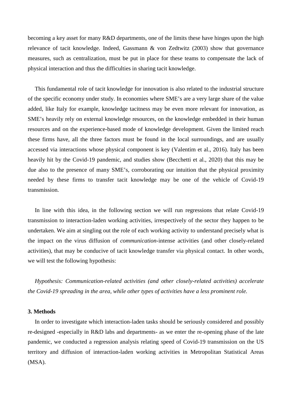becoming a key asset for many R&D departments, one of the limits these have hinges upon the high relevance of tacit knowledge. Indeed, Gassmann & von Zedtwitz (2003) show that governance measures, such as centralization, must be put in place for these teams to compensate the lack of physical interaction and thus the difficulties in sharing tacit knowledge.

This fundamental role of tacit knowledge for innovation is also related to the industrial structure of the specific economy under study. In economies where SME's are a very large share of the value added, like Italy for example, knowledge tacitness may be even more relevant for innovation, as SME's heavily rely on external knowledge resources, on the knowledge embedded in their human resources and on the experience-based mode of knowledge development. Given the limited reach these firms have, all the three factors must be found in the local surroundings, and are usually accessed via interactions whose physical component is key (Valentim et al., 2016). Italy has been heavily hit by the Covid-19 pandemic, and studies show (Becchetti et al., 2020) that this may be due also to the presence of many SME's, corroborating our intuition that the physical proximity needed by these firms to transfer tacit knowledge may be one of the vehicle of Covid-19 transmission.

In line with this idea, in the following section we will run regressions that relate Covid-19 transmission to interaction-laden working activities, irrespectively of the sector they happen to be undertaken. We aim at singling out the role of each working activity to understand precisely what is the impact on the virus diffusion of *communication*-intense activities (and other closely-related activities), that may be conducive of tacit knowledge transfer via physical contact. In other words, we will test the following hypothesis:

*Hypothesis: Communication-related activities (and other closely-related activities) accelerate the Covid-19 spreading in the area, while other types of activities have a less prominent role.*

#### **3. Methods**

In order to investigate which interaction-laden tasks should be seriously considered and possibly re-designed -especially in R&D labs and departments- as we enter the re-opening phase of the late pandemic, we conducted a regression analysis relating speed of Covid-19 transmission on the US territory and diffusion of interaction-laden working activities in Metropolitan Statistical Areas (MSA).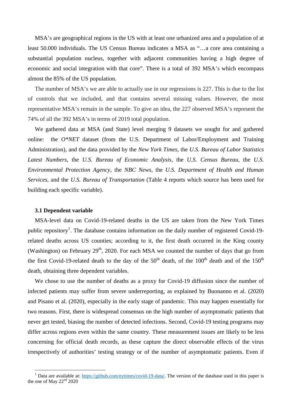MSA's are geographical regions in the US with at least one urbanized area and a population of at least 50.000 individuals. The US Census Bureau indicates a MSA as "…a core area containing a substantial population nucleus, together with adjacent communities having a high degree of economic and social integration with that core". There is a total of 392 MSA's which encompass almost the 85% of the US population.

The number of MSA's we are able to actually use in our regressions is 227. This is due to the list of controls that we included, and that contains several missing values. However, the most representative MSA's remain in the sample. To give an idea, the 227 observed MSA's represent the 74% of all the 392 MSA's in terms of 2019 total population.

We gathered data at MSA (and State) level merging 9 datasets we sought for and gathered online: the *O\*NET* dataset (from the U.S. Department of Labor/Employment and Training Administration), and the data provided by the *New York Times*, the *U.S. Bureau of Labor Statistics Latest Numbers*, the *U.S. Bureau of Economic Analysis*, the *U.S. Census Bureau*, the *U.S. Environmental Protection Agency*, the *NBC News*, the *U.S. Department of Health and Human Services*, and the *U.S. Bureau of Transportation* (Table 4 reports which source has been used for building each specific variable).

#### **3.1 Dependent variable**

MSA-level data on Covid-19-related deaths in the US are taken from the New York Times public repository<sup>1</sup>. The database contains information on the daily number of registered Covid-19related deaths across US counties; according to it, the first death occurred in the King county (Washington) on February 29<sup>th</sup>, 2020. For each MSA we counted the number of days that go from the first Covid-19-related death to the day of the  $50<sup>th</sup>$  death, of the 100<sup>th</sup> death and of the 150<sup>th</sup> death, obtaining three dependent variables.

We chose to use the number of deaths as a proxy for Covid-19 diffusion since the number of infected patients may suffer from severe underreporting, as explained by Buonanno et al. (2020) and Pisano et al. (2020), especially in the early stage of pandemic. This may happen essentially for two reasons. First, there is widespread consensus on the high number of asymptomatic patients that never get tested, biasing the number of detected infections. Second, Covid-19 testing programs may differ across regions even within the same country. These measurement issues are likely to be less concerning for official death records, as these capture the direct observable effects of the virus irrespectively of authorities' testing strategy or of the number of asymptomatic patients. Even if

<sup>&</sup>lt;sup>1</sup> Data are available at: https://github.com/nytimes/covid-19-data/. The version of the database used in this paper is the one of May  $22<sup>nd</sup> 2020$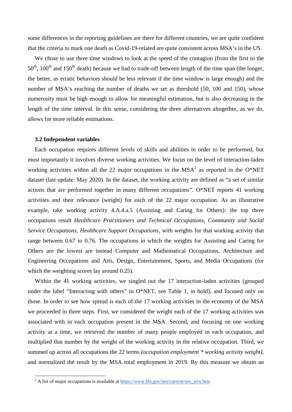some differences in the reporting guidelines are there for different countries, we are quite confident that the criteria to mark one death as Covid-19-related are quite consistent across MSA's in the US.

We chose to use three time windows to look at the speed of the contagion (from the first to the  $50<sup>th</sup>$ ,  $100<sup>th</sup>$  and  $150<sup>th</sup>$  death) because we had to trade-off between length of the time span (the longer, the better, as erratic behaviors should be less relevant if the time window is large enough) and the number of MSA's reaching the number of deaths we set as threshold (50, 100 and 150), whose numerosity must be high enough to allow for meaningful estimation, but is also decreasing in the length of the time interval. In this sense, considering the three alternatives altogether, as we do, allows for more reliable estimations.

#### **3.2 Independent variables**

Each occupation requires different levels of skills and abilities in order to be performed, but most importantly it involves diverse working activities. We focus on the level of interaction-laden working activities within all the 22 major occupations in the  $MSA<sup>2</sup>$  as reported in the O\*NET dataset (last update: May 2020). In the dataset, the working activity are defined as "a set of similar actions that are performed together in many different occupations". O\*NET reports 41 working activities and their relevance (weight) for each of the 22 major occupation. As an illustrative example, take working activity 4.A.4.a.5 (Assisting and Caring for Others): the top three occupations result *Healthcare Practitioners and Technical Occupations, Community and Social Service Occupations, Healthcare Support Occupations,* with weights for that working activity that range between 0.67 to 0.76. The occupations in which the weights for Assisting and Caring for Others are the lowest are instead Computer and Mathematical Occupations, Architecture and Engineering Occupations and Arts, Design, Entertainment, Sports, and Media Occupations (for which the weighting scores lay around 0.25).

Within the 41 working activities, we singled out the 17 interaction-laden activities (grouped under the label "Interacting with others" in O\*NET, see Table 1, in bold), and focused only on those. In order to see how spread is each of the 17 working activities in the economy of the MSA we proceeded in three steps. First, we considered the weight each of the 17 working activities was associated with in each occupation present in the MSA. Second, and focusing on one working activity at a time, we retrieved the number of many people employed in each occupation, and multiplied that number by the weight of the working activity in the relative occupation. Third, we summed up across all occupations the 22 terms *(occupation employment \* working activity weight)*, and normalized the result by the MSA total employment in 2019. By this measure we obtain an

 $2$  A list of major occupations is available at  $\frac{https://www.bls.gov/oes/current/oes\_stru.htm}{https://www.bls.gov/oes/current/oes\_stru.htm}$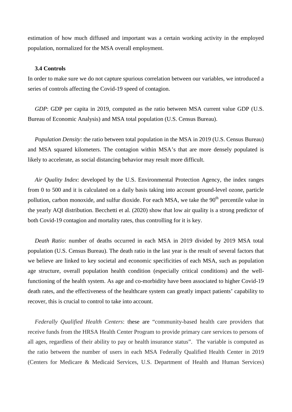estimation of how much diffused and important was a certain working activity in the employed population, normalized for the MSA overall employment.

#### **3.4 Controls**

In order to make sure we do not capture spurious correlation between our variables, we introduced a series of controls affecting the Covid-19 speed of contagion.

*GDP*: GDP per capita in 2019, computed as the ratio between MSA current value GDP (U.S. Bureau of Economic Analysis) and MSA total population (U.S. Census Bureau).

*Population Density*: the ratio between total population in the MSA in 2019 (U.S. Census Bureau) and MSA squared kilometers. The contagion within MSA's that are more densely populated is likely to accelerate, as social distancing behavior may result more difficult.

*Air Quality Index*: developed by the U.S. Environmental Protection Agency, the index ranges from 0 to 500 and it is calculated on a daily basis taking into account ground-level ozone, particle pollution, carbon monoxide, and sulfur dioxide. For each MSA, we take the  $90<sup>th</sup>$  percentile value in the yearly AQI distribution. Becchetti et al. (2020) show that low air quality is a strong predictor of both Covid-19 contagion and mortality rates, thus controlling for it is key.

*Death Ratio*: number of deaths occurred in each MSA in 2019 divided by 2019 MSA total population (U.S. Census Bureau). The death ratio in the last year is the result of several factors that we believe are linked to key societal and economic specificities of each MSA, such as population age structure, overall population health condition (especially critical conditions) and the wellfunctioning of the health system. As age and co-morbidity have been associated to higher Covid-19 death rates, and the effectiveness of the healthcare system can greatly impact patients' capability to recover, this is crucial to control to take into account.

*Federally Qualified Health Centers*: these are "community-based health care providers that receive funds from the HRSA Health Center Program to provide primary care services to persons of all ages, regardless of their ability to pay or health insurance status". The variable is computed as the ratio between the number of users in each MSA Federally Qualified Health Center in 2019 (Centers for Medicare & Medicaid Services, U.S. Department of Health and Human Services)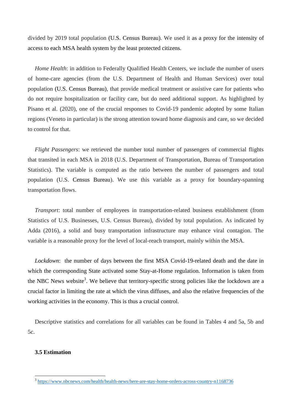divided by 2019 total population (U.S. Census Bureau). We used it as a proxy for the intensity of access to each MSA health system by the least protected citizens.

*Home Health*: in addition to Federally Qualified Health Centers, we include the number of users of home-care agencies (from the U.S. Department of Health and Human Services) over total population (U.S. Census Bureau), that provide medical treatment or assistive care for patients who do not require hospitalization or facility care, but do need additional support. As highlighted by Pisano et al. (2020), one of the crucial responses to Covid-19 pandemic adopted by some Italian regions (Veneto in particular) is the strong attention toward home diagnosis and care, so we decided to control for that.

*Flight Passengers*: we retrieved the number total number of passengers of commercial flights that transited in each MSA in 2018 (U.S. Department of Transportation, Bureau of Transportation Statistics). The variable is computed as the ratio between the number of passengers and total population (U.S. Census Bureau). We use this variable as a proxy for boundary-spanning transportation flows.

*Transport*: total number of employees in transportation-related business establishment (from Statistics of U.S. Businesses, U.S. Census Bureau), divided by total population. As indicated by Adda (2016), a solid and busy transportation infrastructure may enhance viral contagion. The variable is a reasonable proxy for the level of local-reach transport, mainly within the MSA.

*Lockdown*: the number of days between the first MSA Covid-19-related death and the date in which the corresponding State activated some Stay-at-Home regulation. Information is taken from the NBC News website<sup>3</sup>. We believe that territory-specific strong policies like the lockdown are a crucial factor in limiting the rate at which the virus diffuses, and also the relative frequencies of the working activities in the economy. This is thus a crucial control.

Descriptive statistics and correlations for all variables can be found in Tables 4 and 5a, 5b and 5c.

#### **3.5 Estimation**

<sup>3</sup> https://www.nbcnews.com/health/health-news/here-are-stay-home-orders-across-country-n1168736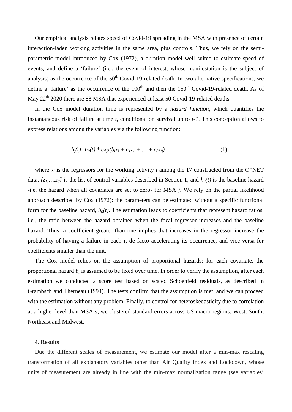Our empirical analysis relates speed of Covid-19 spreading in the MSA with presence of certain interaction-laden working activities in the same area, plus controls. Thus, we rely on the semi parametric model introduced by Cox (1972), a duration model well suited to estimate speed of events, and define a 'failure' (i.e., the event of interest, whose manifestation is the subject of analysis) as the occurrence of the  $50<sup>th</sup>$  Covid-19-related death. In two alternative specifications, we define a 'failure' as the occurrence of the  $100<sup>th</sup>$  and then the  $150<sup>th</sup>$  Covid-19-related death. As of May 22<sup>th</sup> 2020 there are 88 MSA that experienced at least 50 Covid-19-related deaths.

In the Cox model duration time is represented by a *hazard function*, which quantifies the instantaneous risk of failure at time *t*, conditional on survival up to *t-1*. This conception allows to express relations among the variables via the following function:

$$
h_j(t) = h_0(t) * exp(b_i x_i + c_l z_l + ... + c_8 z_8)
$$
 (1)

where  $x_i$  is the regressors for the working activity *i* among the 17 constructed from the O\*NET data,  $[z_1, ..., z_8]$  is the list of control variables described in Section 1, and  $h_0(t)$  is the baseline hazard -i.e. the hazard when all covariates are set to zero- for MSA *j*. We rely on the partial likelihood approach described by Cox (1972): the parameters can be estimated without a specific functional form for the baseline hazard,  $h<sub>0</sub>(t)$ . The estimation leads to coefficients that represent hazard ratios, i.e., the ratio between the hazard obtained when the focal regressor increases and the baseline hazard. Thus, a coefficient greater than one implies that increases in the regressor increase the probability of having a failure in each *t*, de facto accelerating its occurrence, and vice versa for coefficients smaller than the unit.

The Cox model relies on the assumption of proportional hazards: for each covariate, the proportional hazard  $b_i$  is assumed to be fixed over time. In order to verify the assumption, after each estimation we conducted a score test based on scaled Schoenfeld residuals, as described in Grambsch and Therneau (1994). The tests confirm that the assumption is met, and we can proceed with the estimation without any problem. Finally, to control for heteroskedasticity due to correlation at a higher level than MSA's, we clustered standard errors across US macro-regions: West, South, Northeast and Midwest.

#### **4. Results**

Due the different scales of measurement, we estimate our model after a min-max rescaling transformation of all explanatory variables other than Air Quality Index and Lockdown, whose units of measurement are already in line with the min-max normalization range (see variables'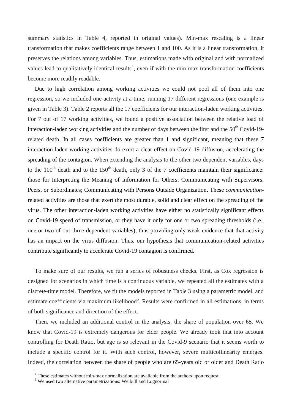summary statistics in Table 4, reported in original values). Min-max rescaling is a linear transformation that makes coefficients range between 1 and 100. As it is a linear transformation, it preserves the relations among variables. Thus, estimations made with original and with normalized values lead to qualitatively identical results<sup>4</sup>, even if with the min-max transformation coefficients become more readily readable.

Due to high correlation among working activities we could not pool all of them into one regression, so we included one activity at a time, running 17 different regressions (one example is given in Table 3). Table 2 reports all the 17 coefficients for our interaction-laden working activities. For 7 out of 17 working activities, we found a positive association between the relative load of interaction-laden working activities and the number of days between the first and the  $50<sup>th</sup>$  Covid-19related death. In all cases coefficients are greater than 1 and significant, meaning that these 7 interaction-laden working activities do exert a clear effect on Covid-19 diffusion, accelerating the spreading of the contagion. When extending the analysis to the other two dependent variables, days to the  $100<sup>th</sup>$  death and to the  $150<sup>th</sup>$  death, only 3 of the 7 coefficients maintain their significance: those for Interpreting the Meaning of Information for Others; Communicating with Supervisors, Peers, or Subordinates; Communicating with Persons Outside Organization. These *communication*related activities are those that exert the most durable, solid and clear effect on the spreading of the virus. The other interaction-laden working activities have either no statistically significant effects on Covid-19 speed of transmission, or they have it only for one or two spreading thresholds (i.e., one or two of our three dependent variables), thus providing only weak evidence that that activity has an impact on the virus diffusion. Thus, our hypothesis that communication-related activities contribute significantly to accelerate Covid-19 contagion is confirmed.

To make sure of our results, we run a series of robustness checks. First, as Cox regression is designed for scenarios in which time is a continuous variable, we repeated all the estimates with a discrete-time model. Therefore, we fit the models reported in Table 3 using a parametric model, and estimate coefficients via maximum likelihood<sup>5</sup>. Results were confirmed in all estimations, in terms of both significance and direction of the effect.

Then, we included an additional control in the analysis: the share of population over 65. We know that Covid-19 is extremely dangerous for elder people. We already took that into account controlling for Death Ratio, but age is so relevant in the Covid-9 scenario that it seems worth to include a specific control for it. With such control, however, severe multicollinearity emerges. Indeed, the correlation between the share of people who are 65-years old or older and Death Ratio

 $4$  These estimates without min-max normalization are available from the authors upon request  $5$  We used two alternative parametrizations: Weibull and Lognormal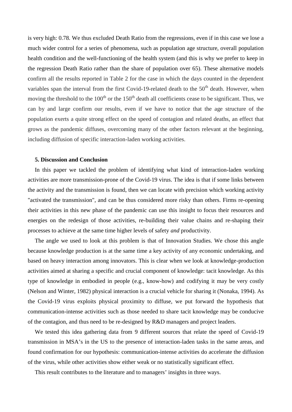is very high: 0.78. We thus excluded Death Ratio from the regressions, even if in this case we lose a much wider control for a series of phenomena, such as population age structure, overall population health condition and the well-functioning of the health system (and this is why we prefer to keep in the regression Death Ratio rather than the share of population over 65). These alternative models confirm all the results reported in Table 2 for the case in which the days counted in the dependent variables span the interval from the first Covid-19-related death to the 50<sup>th</sup> death. However, when moving the threshold to the  $100<sup>th</sup>$  or the  $150<sup>th</sup>$  death all coefficients cease to be significant. Thus, we can by and large confirm our results, even if we have to notice that the age structure of the population exerts a quite strong effect on the speed of contagion and related deaths, an effect that grows as the pandemic diffuses, overcoming many of the other factors relevant at the beginning, including diffusion of specific interaction-laden working activities.

#### **5. Discussion and Conclusion**

In this paper we tackled the problem of identifying what kind of interaction-laden working activities are more transmission-prone of the Covid-19 virus. The idea is that if some links between the activity and the transmission is found, then we can locate with precision which working activity "activated the transmission", and can be thus considered more risky than others. Firms re-opening their activities in this new phase of the pandemic can use this insight to focus their resources and energies on the redesign of those activities, re-building their value chains and re-shaping their processes to achieve at the same time higher levels of safety *and* productivity.

The angle we used to look at this problem is that of Innovation Studies. We chose this angle because knowledge production is at the same time a key activity of any economic undertaking, and based on heavy interaction among innovators. This is clear when we look at knowledge-production activities aimed at sharing a specific and crucial component of knowledge: tacit knowledge. As this type of knowledge in embodied in people (e.g., know-how) and codifying it may be very costly (Nelson and Winter, 1982) physical interaction is a crucial vehicle for sharing it (Nonaka, 1994). As the Covid-19 virus exploits physical proximity to diffuse, we put forward the hypothesis that communication-intense activities such as those needed to share tacit knowledge may be conducive of the contagion, and thus need to be re-designed by R&D managers and project leaders.

We tested this idea gathering data from 9 different sources that relate the speed of Covid-19 transmission in MSA's in the US to the presence of interaction-laden tasks in the same areas, and found confirmation for our hypothesis: communication-intense activities do accelerate the diffusion of the virus, while other activities show either weak or no statistically significant effect.

This result contributes to the literature and to managers' insights in three ways.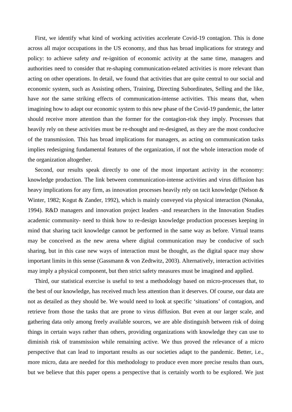First, we identify what kind of working activities accelerate Covid-19 contagion. This is done across all major occupations in the US economy, and thus has broad implications for strategy and policy: to achieve safety *and* re-ignition of economic activity at the same time, managers and authorities need to consider that re-shaping communication-related activities is more relevant than acting on other operations. In detail, we found that activities that are quite central to our social and economic system, such as Assisting others, Training, Directing Subordinates, Selling and the like, have *not* the same striking effects of communication-intense activities. This means that, when imagining how to adapt our economic system to this new phase of the Covid-19 pandemic, the latter should receive more attention than the former for the contagion-risk they imply. Processes that heavily rely on these activities must be re-thought and re-designed, as they are the most conducive of the transmission. This has broad implications for managers, as acting on communication tasks implies redesigning fundamental features of the organization, if not the whole interaction mode of the organization altogether.

Second, our results speak directly to one of the most important activity in the economy: knowledge production. The link between communication-intense activities and virus diffusion has heavy implications for any firm, as innovation processes heavily rely on tacit knowledge (Nelson & Winter, 1982; Kogut & Zander, 1992), which is mainly conveyed via physical interaction (Nonaka, 1994). R&D managers and innovation project leaders -and researchers in the Innovation Studies academic community- need to think how to re-design knowledge production processes keeping in mind that sharing tacit knowledge cannot be performed in the same way as before. Virtual teams may be conceived as the new arena where digital communication may be conducive of such sharing, but in this case new ways of interaction must be thought, as the digital space may show important limits in this sense (Gassmann & von Zedtwitz, 2003). Alternatively, interaction activities may imply a physical component, but then strict safety measures must be imagined and applied.

Third, our statistical exercise is useful to test a methodology based on micro-processes that, to the best of our knowledge, has received much less attention than it deserves. Of course, our data are not as detailed as they should be. We would need to look at specific 'situations' of contagion, and retrieve from those the tasks that are prone to virus diffusion. But even at our larger scale, and gathering data only among freely available sources, we are able distinguish between risk of doing things in certain ways rather than others, providing organizations with knowledge they can use to diminish risk of transmission while remaining active. We thus proved the relevance of a micro perspective that can lead to important results as our societies adapt to the pandemic. Better, i.e., more micro, data are needed for this methodology to produce even more precise results than ours, but we believe that this paper opens a perspective that is certainly worth to be explored. We just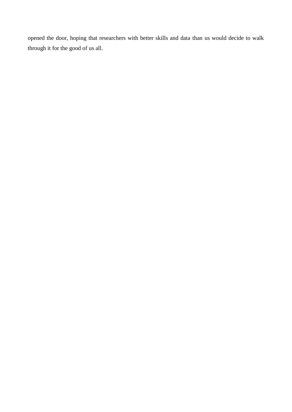opened the door, hoping that researchers with better skills and data than us would decide to walk through it for the good of us all.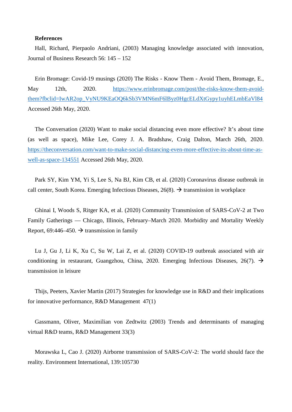#### **References**

Hall, Richard, Pierpaolo Andriani, (2003) Managing knowledge associated with innovation, Journal of Business Research 56: 145 – 152

Erin Bromage: Covid-19 musings (2020) The Risks - Know Them - Avoid Them, Bromage, E., May 12th, 2020. https://www.erinbromage.com/post/the-risks-know-them-avoidthem?fbclid=IwAR2op\_VyNU9KEaOQ6kSb3VMN6mF6lByz0HgcELdXtGypy1uyhELmbEaVl84 Accessed 26th May, 2020.

The Conversation (2020) Want to make social distancing even more effective? It's about time (as well as space), Mike Lee, Corey J. A. Bradshaw, Craig Dalton, March 26th, 2020. https://theconversation.com/want-to-make-social-distancing-even-more-effective-its-about-time-as well-as-space-134551 Accessed 26th May, 2020.

Park SY, Kim YM, Yi S, Lee S, Na BJ, Kim CB, et al. (2020) Coronavirus disease outbreak in call center, South Korea. Emerging Infectious Diseases,  $26(8)$ .  $\rightarrow$  transmission in workplace

Ghinai I, Woods S, Ritger KA, et al. (2020) Community Transmission of SARS-CoV-2 at Two Family Gatherings — Chicago, Illinois, February–March 2020. Morbidity and Mortality Weekly Report, 69:446–450.  $\rightarrow$  transmission in family

Lu J, Gu J, Li K, Xu C, Su W, Lai Z, et al. (2020) COVID-19 outbreak associated with air conditioning in restaurant, Guangzhou, China, 2020. Emerging Infectious Diseases, 26(7).  $\rightarrow$ transmission in leisure

Thijs, Peeters, Xavier Martin (2017) Strategies for knowledge use in R&D and their implications for innovative performance, R&D Management 47(1)

Gassmann, Oliver, Maximilian von Zedtwitz (2003) Trends and determinants of managing virtual R&D teams, R&D Management 33(3)

Morawska L, Cao J. (2020) Airborne transmission of SARS-CoV-2: The world should face the reality. Environment International, 139:105730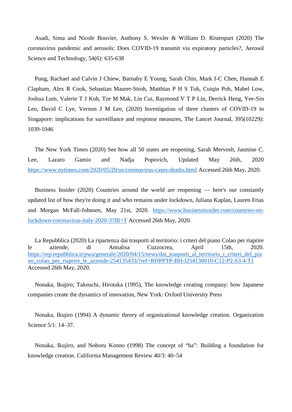Asadi, Sima and Nicole Bouvier, Anthony S. Wexler & William D. Ristenpart (2020) The coronavirus pandemic and aerosols: Does COVID-19 transmit via expiratory particles?, Aerosol Science and Technology, 54(6): 635-638

Pung, Rachael and Calvin J Chiew, Barnaby E Young, Sarah Chin, Mark I-C Chen, Hannah E Clapham, Alex R Cook, Sebastian Maurer-Stroh, Matthias P H S Toh, Cuiqin Poh, Mabel Low, Joshua Lum, Valerie T J Koh, Tze M Mak, Lin Cui, Raymond V T P Lin, Derrick Heng, Yee-Sin Leo, David C Lye, Vernon J M Lee, (2020) Investigation of three clusters of COVID-19 in Singapore: implications for surveillance and response measures, The Lancet Journal, 395(10229): 1039-1046

The New York Times (2020) See how all 50 states are reopening, Sarah Mervosh, Jasmine C. Lee, Lazaro Gamio and Nadja Popovich, Updated May 26th, 2020 https://www.nytimes.com/2020/05/20/us/coronavirus-cases-deaths.html Accessed 26th May, 2020.

Business Insider (2020) Countries around the world are reopening — here's our constantly updated list of how they're doing it and who remains under lockdown, Juliana Kaplan, Lauren Frias and Morgan McFall-Johnsen, May 21st, 2020. https://www.businessinsider.com/countries-onlockdown-coronavirus-italy-2020-3?IR=T Accessed 26th May, 2020.

La Repubblica (2020) La ripartenza dai trasporti al territorio: i criteri del piano Colao per riaprire le aziende, di Annalisa Cuzzocrea, April 15th, 2020. https://rep.repubblica.it/pwa/generale/2020/04/15/news/dai\_trasporti\_al\_territorio\_i\_criteri\_del\_pia no\_colao\_per\_riaprire\_le\_aziende-254135433/?ref=RHPPTP-BH-I254138010-C12-P2-S3.4-T1 Accessed 26th May, 2020.

Nonaka, Ikujiro; Takeuchi, Hirotaka (1995), The knowledge creating company: how Japanese companies create the dynamics of innovation, New York: Oxford University Press

Nonaka, Ikujiro (1994) A dynamic theory of organizational knowledge creation. Organization Science 5/1: 14–37.

Nonaka, Ikujiro, and Noboru Konno (1998) The concept of "ba": Building a foundation for knowledge creation. California Management Review 40/3: 40–54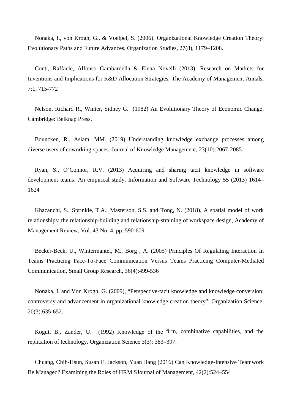Nonaka, I., von Krogh, G., & Voelpel, S. (2006). Organizational Knowledge Creation Theory: Evolutionary Paths and Future Advances. Organization Studies, 27(8), 1179–1208.

Conti, Raffaele, Alfonso Gambardella & Elena Novelli (2013): Research on Markets for Inventions and Implications for R&D Allocation Strategies, The Academy of Management Annals, 7:1, 715-772

Nelson, Richard R., Winter, Sidney G. (1982) An Evolutionary Theory of Economic Change, Cambridge: Belknap Press.

Bouncken, R., Aslam, MM. (2019) Understanding knowledge exchange processes among diverse users of coworking-spaces. Journal of Knowledge Management, 23(10):2067-2085

Ryan, S., O'Connor, R.V. (2013) Acquiring and sharing tacit knowledge in software development teams: An empirical study, Information and Software Technology 55 (2013) 1614– 1624

Khazanchi, S., Sprinkle, T.A., Masterson, S.S. and Tong, N. (2018), A spatial model of work relationships: the relationship-building and relationship-straining of workspace design, Academy of Management Review, Vol. 43 No. 4, pp. 590-609.

Becker-Beck, U., Wintermantel, M., Borg , A. (2005) Principles Of Regulating Interaction In Teams Practicing Face-To-Face Communication Versus Teams Practicing Computer-Mediated Communication, Small Group Research, 36(4):499-536

Nonaka, I. and Von Krogh, G. (2009), "Perspective-tacit knowledge and knowledge conversion: controversy and advancement in organizational knowledge creation theory", Organization Science, 20(3):635-652.

Kogut, B., Zander, U. (1992) Knowledge of the firm, combinative capabilities, and the replication of technology. Organization Science 3(3): 383–397.

Chuang, Chih-Hsun, Susan E. Jackson, Yuan Jiang (2016) Can Knowledge-Intensive Teamwork Be Managed? Examining the Roles of HRM SJournal of Management, 42(2):524–554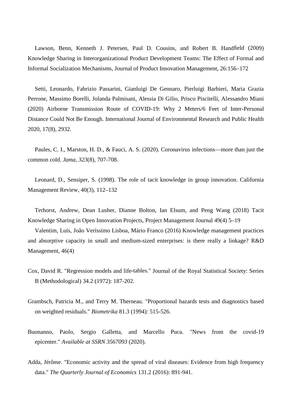Lawson, Benn, Kenneth J. Petersen, Paul D. Cousins, and Robert B. Handfield (2009) Knowledge Sharing in Interorganizational Product Development Teams: The Effect of Formal and Informal Socialization Mechanisms, Journal of Product Innovation Management, 26:156–172

Setti, Leonardo, Fabrizio Passarini, Gianluigi De Gennaro, Pierluigi Barbieri, Maria Grazia Perrone, Massimo Borelli, Jolanda Palmisani, Alessia Di Gilio, Prisco Piscitelli, Alessandro Miani (2020) Airborne Transmission Route of COVID-19: Why 2 Meters/6 Feet of Inter-Personal Distance Could Not Be Enough. International Journal of Environmental Research and Public Health 2020, 17(8), 2932.

Paules, C. I., Marston, H. D., & Fauci, A. S. (2020). Coronavirus infections—more than just the common cold. *Jama*, *323*(8), 707-708.

Leonard, D., Sensiper, S. (1998). The role of tacit knowledge in group innovation. California Management Review, 40(3), 112–132

Terhorst, Andrew, Dean Lusher, Dianne Bolton, Ian Elsum, and Peng Wang (2018) Tacit Knowledge Sharing in Open Innovation Projects, Project Management Journal 49(4) 5–19

Valentim, Luís, João Veríssimo Lisboa, Mário Franco (2016) Knowledge management practices and absorptive capacity in small and medium-sized enterprises: is there really a linkage? R&D Management, 46(4)

- Cox, David R. "Regression models and life tables." Journal of the Royal Statistical Society: Series B (Methodological) 34.2 (1972): 187-202.
- Grambsch, Patricia M., and Terry M. Therneau. "Proportional hazards tests and diagnostics based on weighted residuals." *Biometrika* 81.3 (1994): 515-526.
- Buonanno, Paolo, Sergio Galletta, and Marcello Puca. "News from the covid-19 epicenter." *Available at SSRN 3567093* (2020).
- Adda, Jérôme. "Economic activity and the spread of viral diseases: Evidence from high frequency data." *The Quarterly Journal of Economics* 131.2 (2016): 891-941.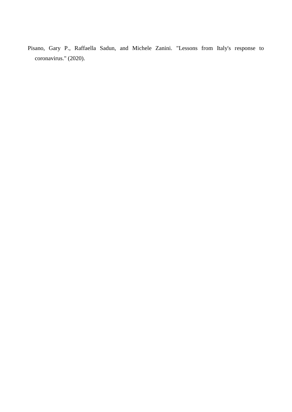Pisano, Gary P., Raffaella Sadun, and Michele Zanini. "Lessons from Italy's response to coronavirus." (2020).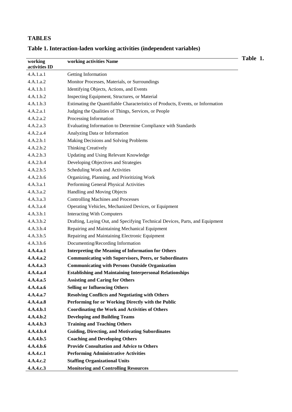## **TABLES**

| working<br>activities ID | working activities Name                                                         | Table 1. |
|--------------------------|---------------------------------------------------------------------------------|----------|
| 4.A.1.a.1                | Getting Information                                                             |          |
| 4.A.1.a.2                | Monitor Processes, Materials, or Surroundings                                   |          |
| 4.A.1.b.1                | Identifying Objects, Actions, and Events                                        |          |
| 4.A.1.b.2                | Inspecting Equipment, Structures, or Material                                   |          |
| 4.A.1.b.3                | Estimating the Quantifiable Characteristics of Products, Events, or Information |          |
| 4.A.2.a.1                | Judging the Qualities of Things, Services, or People                            |          |
| 4.A.2.a.2                | Processing Information                                                          |          |
| 4.A.2.a.3                | Evaluating Information to Determine Compliance with Standards                   |          |
| 4.A.2.a.4                | Analyzing Data or Information                                                   |          |
| 4.A.2.b.1                | Making Decisions and Solving Problems                                           |          |
| 4.A.2.b.2                | <b>Thinking Creatively</b>                                                      |          |
| 4.A.2.b.3                | Updating and Using Relevant Knowledge                                           |          |
| 4.A.2.b.4                | Developing Objectives and Strategies                                            |          |
| 4.A.2.b.5                | Scheduling Work and Activities                                                  |          |
| 4.A.2.b.6                | Organizing, Planning, and Prioritizing Work                                     |          |
| 4.A.3.a.1                | Performing General Physical Activities                                          |          |
| 4.A.3.a.2                | Handling and Moving Objects                                                     |          |
| 4.A.3.a.3                | <b>Controlling Machines and Processes</b>                                       |          |
| 4.A.3.a.4                | Operating Vehicles, Mechanized Devices, or Equipment                            |          |
| 4.A.3.b.1                | <b>Interacting With Computers</b>                                               |          |
| 4.A.3.b.2                | Drafting, Laying Out, and Specifying Technical Devices, Parts, and Equipment    |          |
| 4.A.3.b.4                | Repairing and Maintaining Mechanical Equipment                                  |          |
| 4.A.3.b.5                | Repairing and Maintaining Electronic Equipment                                  |          |
| 4.A.3.b.6                | Documenting/Recording Information                                               |          |
| 4.A.4.a.1                | <b>Interpreting the Meaning of Information for Others</b>                       |          |
| 4.A.4.a.2                | <b>Communicating with Supervisors, Peers, or Subordinates</b>                   |          |
| 4.A.4.a.3                | <b>Communicating with Persons Outside Organization</b>                          |          |
| 4.A.4.a.4                | <b>Establishing and Maintaining Interpersonal Relationships</b>                 |          |
| 4.A.4.a.5                | <b>Assisting and Caring for Others</b>                                          |          |
| 4.A.4.a.6                | <b>Selling or Influencing Others</b>                                            |          |
| 4.A.4.a.7                | <b>Resolving Conflicts and Negotiating with Others</b>                          |          |
| 4.A.4.a.8                | Performing for or Working Directly with the Public                              |          |
| 4.A.4.b.1                | <b>Coordinating the Work and Activities of Others</b>                           |          |
| 4.A.4.b.2                | <b>Developing and Building Teams</b>                                            |          |
| 4.A.4.b.3                | <b>Training and Teaching Others</b>                                             |          |
| 4.A.4.b.4                | <b>Guiding, Directing, and Motivating Subordinates</b>                          |          |
| 4.A.4.b.5                | <b>Coaching and Developing Others</b>                                           |          |
| 4.A.4.b.6                | <b>Provide Consultation and Advice to Others</b>                                |          |
| 4.A.4.c.1                | <b>Performing Administrative Activities</b>                                     |          |
| 4.A.4.c.2                | <b>Staffing Organizational Units</b>                                            |          |
| 4.A.4.c.3                | <b>Monitoring and Controlling Resources</b>                                     |          |

# **Table 1. Interaction-laden working activities (independent variables)**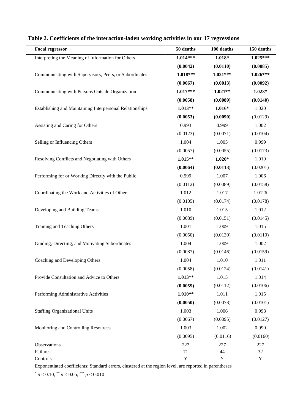| <b>Focal regressor</b>                                   | 50 deaths   | 100 deaths | 150 deaths  |
|----------------------------------------------------------|-------------|------------|-------------|
| Interpreting the Meaning of Information for Others       | $1.014***$  | $1.018*$   | 1.025***    |
|                                                          | (0.0042)    | (0.0110)   | (0.0085)    |
| Communicating with Supervisors, Peers, or Subordinates   | $1.018***$  | $1.021***$ | $1.026***$  |
|                                                          | (0.0067)    | (0.0013)   | (0.0092)    |
| Communicating with Persons Outside Organization          | $1.017***$  | $1.021**$  | $1.023*$    |
|                                                          | (0.0058)    | (0.0089)   | (0.0140)    |
| Establishing and Maintaining Interpersonal Relationships | $1.013**$   | $1.016*$   | 1.020       |
|                                                          | (0.0053)    | (0.0090)   | (0.0129)    |
| Assisting and Caring for Others                          | 0.993       | 0.999      | 1.002       |
|                                                          | (0.0123)    | (0.0071)   | (0.0104)    |
| Selling or Influencing Others                            | 1.004       | 1.005      | 0.999       |
|                                                          | (0.0057)    | (0.0055)   | (0.0173)    |
| Resolving Conflicts and Negotiating with Others          | 1.015**     | $1.020*$   | 1.019       |
|                                                          | (0.0064)    | (0.0113)   | (0.0201)    |
| Performing for or Working Directly with the Public       | 0.999       | 1.007      | 1.006       |
|                                                          | (0.0112)    | (0.0089)   | (0.0158)    |
| Coordinating the Work and Activities of Others           | 1.012       | 1.017      | 1.0126      |
|                                                          | (0.0105)    | (0.0174)   | (0.0178)    |
| Developing and Building Teams                            | 1.010       | 1.015      | 1.012       |
|                                                          | (0.0089)    | (0.0151)   | (0.0145)    |
| Training and Teaching Others                             | 1.001       | 1.009      | 1.015       |
|                                                          | (0.0050)    | (0.0139)   | (0.0119)    |
| Guiding, Directing, and Motivating Subordinates          | 1.004       | 1.009      | 1.002       |
|                                                          | (0.0087)    | (0.0146)   | (0.0159)    |
| Coaching and Developing Others                           | 1.004       | 1.010      | 1.011       |
|                                                          | (0.0058)    | (0.0124)   | (0.0141)    |
| Provide Consultation and Advice to Others                | $1.013**$   | 1.015      | 1.014       |
|                                                          | (0.0059)    | (0.0112)   | (0.0106)    |
| Performing Administrative Activities                     | $1.010**$   | 1.011      | 1.015       |
|                                                          | (0.0050)    | (0.0078)   | (0.0101)    |
| <b>Staffing Organizational Units</b>                     | 1.003       | 1.006      | 0.998       |
|                                                          | (0.0067)    | (0.0095)   | (0.0127)    |
| Monitoring and Controlling Resources                     | 1.003       | 1.002      | 0.990       |
|                                                          | (0.0095)    | (0.0116)   | (0.0160)    |
| Observations                                             | 227         | 227        | 227         |
| Failures                                                 | 71          | 44         | 32          |
| Controls                                                 | $\mathbf Y$ | Y          | $\mathbf Y$ |

### **Table 2. Coefficients of the interaction-laden working activities in our 17 regressions**

Exponentiated coefficients; Standard errors, clustered at the region level, are reported in parentheses

 $p^*$  *p* < 0.10, \*\* *p* < 0.05, \*\*\* *p* < 0.010

i.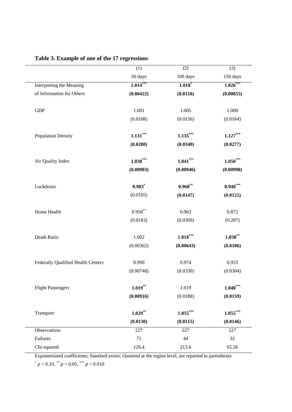|                                    | (1)        | (2)        | (3)        |
|------------------------------------|------------|------------|------------|
|                                    | 50 days    | 100 days   | 150 days   |
| Interpreting the Meaning           | $1.014***$ | $1.018*$   | $1.026***$ |
| of Information for Others          | (0.00422)  | (0.0110)   | (0.00855)  |
| ${\rm GDP}$                        | 1.001      | 1.005      | $1.008\,$  |
|                                    | (0.0108)   | (0.0156)   | (0.0164)   |
| <b>Population Density</b>          | $1.131***$ | $1.135***$ | $1.127***$ |
|                                    | (0.0280)   | (0.0340)   | (0.0277)   |
| Air Quality Index                  | $1.038***$ | $1.041***$ | $1.050***$ |
|                                    | (0.00903)  | (0.00946)  | (0.00998)  |
| Lockdown                           | $0.983$ *  | $0.968**$  | $0.940***$ |
|                                    | (0.0105)   | (0.0147)   | (0.0125)   |
| Home Health                        | $0.958***$ | 0.963      | 0.872      |
|                                    | (0.0183)   | (0.0309)   | (0.207)    |
| Death Ratio                        | 1.002      | $1.018***$ | $1.038***$ |
|                                    | (0.00362)  | (0.00643)  | (0.0186)   |
| Federally Qualified Health Centers | 0.990      | 0.974      | 0.953      |
|                                    | (0.00748)  | (0.0330)   | (0.0304)   |
| <b>Flight Passengers</b>           | $1.019***$ | 1.019      | $1.048***$ |
|                                    | (0.00916)  | (0.0188)   | (0.0159)   |
| Transport                          | $1.029***$ | $1.055***$ | $1.055***$ |
|                                    | (0.0130)   | (0.0115)   | (0.0146)   |
| Observations                       | 227        | 227        | 227        |
| Failures                           | 71         | 44         | 32         |
| Chi-squared                        | 126.4      | 213.6      | 65.26      |

# **Table 3. Example of one of the 17 regressions**

Exponentiated coefficients; Standard errors, clustered at the region level, are reported in parentheses

 $p < 0.10$ , \*\*  $p < 0.05$ , \*\*\*  $p < 0.010$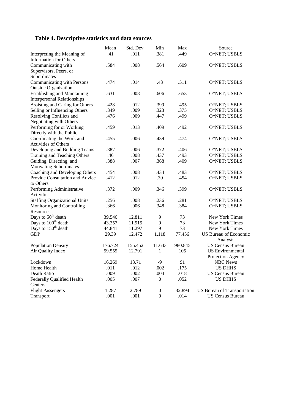| Table 4. Descriptive statistics and data sources |  |
|--------------------------------------------------|--|
|--------------------------------------------------|--|

| Mean | Std. Dev.                                                                                                                                                          | Min                                                                                                                                                                 | Max                                                                                                                                                            | Source                                                                                                                             |
|------|--------------------------------------------------------------------------------------------------------------------------------------------------------------------|---------------------------------------------------------------------------------------------------------------------------------------------------------------------|----------------------------------------------------------------------------------------------------------------------------------------------------------------|------------------------------------------------------------------------------------------------------------------------------------|
| .41  | .011                                                                                                                                                               | .381                                                                                                                                                                | .449                                                                                                                                                           | O*NET; USBLS                                                                                                                       |
|      |                                                                                                                                                                    |                                                                                                                                                                     |                                                                                                                                                                |                                                                                                                                    |
| .584 | .008                                                                                                                                                               | .564                                                                                                                                                                | .609                                                                                                                                                           | O*NET; USBLS                                                                                                                       |
|      |                                                                                                                                                                    |                                                                                                                                                                     |                                                                                                                                                                |                                                                                                                                    |
|      |                                                                                                                                                                    |                                                                                                                                                                     |                                                                                                                                                                |                                                                                                                                    |
| .474 | .014                                                                                                                                                               | .43                                                                                                                                                                 | .511                                                                                                                                                           | O*NET; USBLS                                                                                                                       |
|      |                                                                                                                                                                    |                                                                                                                                                                     |                                                                                                                                                                |                                                                                                                                    |
| .631 | .008                                                                                                                                                               | .606                                                                                                                                                                | .653                                                                                                                                                           | O*NET; USBLS                                                                                                                       |
|      |                                                                                                                                                                    |                                                                                                                                                                     |                                                                                                                                                                |                                                                                                                                    |
| .428 | .012                                                                                                                                                               | .399                                                                                                                                                                | .495                                                                                                                                                           | O*NET; USBLS                                                                                                                       |
| .349 | .009                                                                                                                                                               | .323                                                                                                                                                                | .375                                                                                                                                                           | O*NET; USBLS                                                                                                                       |
| .476 | .009                                                                                                                                                               | .447                                                                                                                                                                | .499                                                                                                                                                           | O*NET; USBLS                                                                                                                       |
|      |                                                                                                                                                                    |                                                                                                                                                                     |                                                                                                                                                                |                                                                                                                                    |
| .459 | .013                                                                                                                                                               | .409                                                                                                                                                                | .492                                                                                                                                                           | O*NET; USBLS                                                                                                                       |
|      |                                                                                                                                                                    |                                                                                                                                                                     |                                                                                                                                                                |                                                                                                                                    |
| .455 | .006                                                                                                                                                               | .439                                                                                                                                                                | .474                                                                                                                                                           | O*NET; USBLS                                                                                                                       |
|      |                                                                                                                                                                    |                                                                                                                                                                     |                                                                                                                                                                |                                                                                                                                    |
|      |                                                                                                                                                                    |                                                                                                                                                                     | .406                                                                                                                                                           | O*NET; USBLS                                                                                                                       |
|      |                                                                                                                                                                    |                                                                                                                                                                     | .493                                                                                                                                                           | O*NET; USBLS                                                                                                                       |
|      |                                                                                                                                                                    |                                                                                                                                                                     |                                                                                                                                                                | O*NET; USBLS                                                                                                                       |
|      |                                                                                                                                                                    |                                                                                                                                                                     |                                                                                                                                                                |                                                                                                                                    |
|      |                                                                                                                                                                    |                                                                                                                                                                     |                                                                                                                                                                | O*NET; USBLS                                                                                                                       |
|      |                                                                                                                                                                    |                                                                                                                                                                     |                                                                                                                                                                | O*NET; USBLS                                                                                                                       |
|      |                                                                                                                                                                    |                                                                                                                                                                     |                                                                                                                                                                |                                                                                                                                    |
|      |                                                                                                                                                                    |                                                                                                                                                                     |                                                                                                                                                                | O*NET; USBLS                                                                                                                       |
|      |                                                                                                                                                                    |                                                                                                                                                                     |                                                                                                                                                                |                                                                                                                                    |
|      |                                                                                                                                                                    |                                                                                                                                                                     |                                                                                                                                                                | O*NET; USBLS                                                                                                                       |
|      |                                                                                                                                                                    |                                                                                                                                                                     |                                                                                                                                                                | O*NET; USBLS                                                                                                                       |
|      |                                                                                                                                                                    |                                                                                                                                                                     |                                                                                                                                                                |                                                                                                                                    |
|      |                                                                                                                                                                    |                                                                                                                                                                     |                                                                                                                                                                | New York Times                                                                                                                     |
|      |                                                                                                                                                                    |                                                                                                                                                                     |                                                                                                                                                                | New York Times                                                                                                                     |
|      |                                                                                                                                                                    |                                                                                                                                                                     |                                                                                                                                                                | New York Times                                                                                                                     |
|      |                                                                                                                                                                    |                                                                                                                                                                     |                                                                                                                                                                | US Bureau of Economic                                                                                                              |
|      |                                                                                                                                                                    |                                                                                                                                                                     |                                                                                                                                                                | Analysis                                                                                                                           |
|      |                                                                                                                                                                    |                                                                                                                                                                     |                                                                                                                                                                | <b>US Census Bureau</b>                                                                                                            |
|      |                                                                                                                                                                    |                                                                                                                                                                     |                                                                                                                                                                | <b>US</b> Environmental                                                                                                            |
|      |                                                                                                                                                                    |                                                                                                                                                                     |                                                                                                                                                                | Protection Agency                                                                                                                  |
|      |                                                                                                                                                                    |                                                                                                                                                                     |                                                                                                                                                                | NBC News                                                                                                                           |
|      |                                                                                                                                                                    |                                                                                                                                                                     |                                                                                                                                                                | <b>US DHHS</b>                                                                                                                     |
|      |                                                                                                                                                                    |                                                                                                                                                                     |                                                                                                                                                                | <b>US Census Bureau</b>                                                                                                            |
|      |                                                                                                                                                                    |                                                                                                                                                                     |                                                                                                                                                                | <b>US DHHS</b>                                                                                                                     |
|      |                                                                                                                                                                    |                                                                                                                                                                     |                                                                                                                                                                |                                                                                                                                    |
|      |                                                                                                                                                                    |                                                                                                                                                                     |                                                                                                                                                                | US Bureau of Transportation                                                                                                        |
| .001 | .001                                                                                                                                                               | $\boldsymbol{0}$                                                                                                                                                    | .014                                                                                                                                                           | <b>US Census Bureau</b>                                                                                                            |
|      | .387<br>.46<br>.388<br>.454<br>.412<br>.372<br>.256<br>.366<br>39.546<br>43.357<br>44.841<br>29.39<br>176.724<br>59.555<br>16.269<br>.011<br>.009<br>.005<br>1.287 | .006<br>.008<br>.007<br>.008<br>.012<br>.009<br>.008<br>.006<br>12.811<br>11.915<br>11.297<br>12.472<br>155.452<br>12.791<br>13.71<br>.012<br>.002<br>.007<br>2.789 | .372<br>.437<br>.368<br>.434<br>.39<br>.346<br>.236<br>.348<br>9<br>9<br>9<br>1.118<br>11.643<br>1<br>-9<br>.002<br>.004<br>$\overline{0}$<br>$\boldsymbol{0}$ | .409<br>.483<br>.454<br>.399<br>.281<br>.384<br>73<br>73<br>73<br>77.456<br>980.845<br>105<br>91<br>.175<br>.018<br>.052<br>32.894 |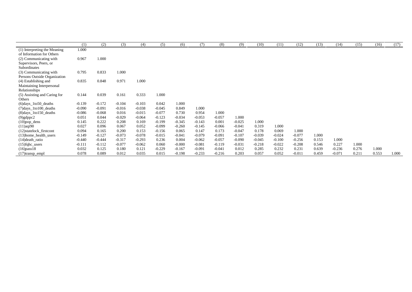|                              | (1)      | (2)      | (3)      | (4)      | (5)      | (6)      | (7)      | (8)      | (9)      | (10)     | (11)     | (12)     | (13)  | (14)     | (15)  | (16)  | (17)  |
|------------------------------|----------|----------|----------|----------|----------|----------|----------|----------|----------|----------|----------|----------|-------|----------|-------|-------|-------|
| (1) Interpreting the Meaning | 1.000    |          |          |          |          |          |          |          |          |          |          |          |       |          |       |       |       |
| of Information for Others    |          |          |          |          |          |          |          |          |          |          |          |          |       |          |       |       |       |
| (2) Communicating with       | 0.967    | 1.000    |          |          |          |          |          |          |          |          |          |          |       |          |       |       |       |
| Supervisors, Peers, or       |          |          |          |          |          |          |          |          |          |          |          |          |       |          |       |       |       |
| Subordinates                 |          |          |          |          |          |          |          |          |          |          |          |          |       |          |       |       |       |
| (3) Communicating with       | 0.795    | 0.833    | 1.000    |          |          |          |          |          |          |          |          |          |       |          |       |       |       |
| Persons Outside Organization |          |          |          |          |          |          |          |          |          |          |          |          |       |          |       |       |       |
| (4) Establishing and         | 0.835    | 0.848    | 0.971    | 1.000    |          |          |          |          |          |          |          |          |       |          |       |       |       |
| Maintaining Interpersonal    |          |          |          |          |          |          |          |          |          |          |          |          |       |          |       |       |       |
| Relationships                |          |          |          |          |          |          |          |          |          |          |          |          |       |          |       |       |       |
| (5) Assisting and Caring for | 0.144    | 0.039    | 0.161    | 0.333    | 1.000    |          |          |          |          |          |          |          |       |          |       |       |       |
| Others                       |          |          |          |          |          |          |          |          |          |          |          |          |       |          |       |       |       |
| $(6)$ days_1to50_deaths      | $-0.139$ | $-0.172$ | $-0.104$ | $-0.103$ | 0.042    | 1.000    |          |          |          |          |          |          |       |          |       |       |       |
| $(7)$ days_1to100_deaths     | $-0.090$ | $-0.091$ | $-0.016$ | $-0.038$ | $-0.045$ | 0.849    | 1.000    |          |          |          |          |          |       |          |       |       |       |
| $(8)$ days_1to150_deaths     | $-0.086$ | $-0.068$ | 0.016    | $-0.015$ | $-0.077$ | 0.730    | 0.954    | 1.000    |          |          |          |          |       |          |       |       |       |
| $(9)$ gdppc2                 | 0.051    | 0.044    | $-0.029$ | $-0.064$ | $-0.123$ | $-0.034$ | $-0.053$ | $-0.057$ | 1.000    |          |          |          |       |          |       |       |       |
| $(10)$ pop_dens              | 0.145    | 0.222    | 0.208    | 0.169    | $-0.199$ | $-0.345$ | $-0.143$ | 0.001    | $-0.025$ | 1.000    |          |          |       |          |       |       |       |
| $(11)$ aqi90                 | 0.027    | 0.096    | 0.067    | 0.052    | $-0.099$ | $-0.260$ | $-0.145$ | $-0.066$ | $-0.041$ | 0.319    | 1.000    |          |       |          |       |       |       |
| (12)statelock_firstcont      | 0.094    | 0.165    | 0.200    | 0.153    | $-0.156$ | 0.065    | 0.147    | 0.173    | $-0.047$ | 0.178    | 0.069    | 1.000    |       |          |       |       |       |
| $(13)$ home_health_users     | $-0.149$ | $-0.127$ | $-0.073$ | $-0.078$ | $-0.015$ | $-0.041$ | $-0.079$ | $-0.091$ | $-0.107$ | $-0.039$ | $-0.024$ | $-0.077$ | 1.000 |          |       |       |       |
| $(14)$ death_ratio           | $-0.440$ | $-0.444$ | $-0.317$ | $-0.293$ | 0.236    | 0.004    | $-0.062$ | $-0.057$ | $-0.090$ | $-0.045$ | $-0.100$ | $-0.256$ | 0.153 | 1.000    |       |       |       |
| $(15)$ fqhc_users            | $-0.111$ | $-0.112$ | $-0.077$ | $-0.062$ | 0.060    | $-0.000$ | $-0.081$ | $-0.119$ | $-0.031$ | $-0.218$ | $-0.022$ | $-0.208$ | 0.546 | 0.227    | 1.000 |       |       |
| $(16)$ pass $18$             | 0.032    | 0.125    | 0.180    | 0.121    | $-0.229$ | $-0.167$ | $-0.091$ | $-0.041$ | 0.012    | 0.285    | 0.232    | 0.231    | 0.639 | $-0.236$ | 0.276 | 1.000 |       |
| $(17)$ transp_empl           | 0.078    | 0.089    | 0.012    | 0.035    | 0.015    | $-0.198$ | $-0.233$ | $-0.216$ | 0.203    | 0.057    | 0.052    | $-0.011$ | 0.459 | $-0.071$ | 0.211 | 0.553 | 1.000 |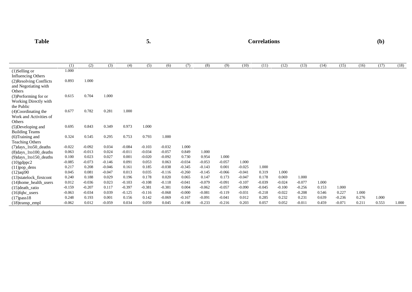Table 5. Correlations (b)

|                           | (1)      | (2)      | (3)      | (4)      | (5)      | (6)      | (7)      | (8)      | (9)      | (10)     | (11)     | (12)     | (13)     | (14)  | (15)     | (16)  | (17)  | (18)  |
|---------------------------|----------|----------|----------|----------|----------|----------|----------|----------|----------|----------|----------|----------|----------|-------|----------|-------|-------|-------|
| $(1)$ Selling or          | 1.000    |          |          |          |          |          |          |          |          |          |          |          |          |       |          |       |       |       |
| <b>Influencing Others</b> |          |          |          |          |          |          |          |          |          |          |          |          |          |       |          |       |       |       |
| (2) Resolving Conflicts   | 0.893    | 1.000    |          |          |          |          |          |          |          |          |          |          |          |       |          |       |       |       |
| and Negotiating with      |          |          |          |          |          |          |          |          |          |          |          |          |          |       |          |       |       |       |
| Others                    |          |          |          |          |          |          |          |          |          |          |          |          |          |       |          |       |       |       |
| (3) Performing for or     | 0.615    | 0.704    | 1.000    |          |          |          |          |          |          |          |          |          |          |       |          |       |       |       |
| Working Directly with     |          |          |          |          |          |          |          |          |          |          |          |          |          |       |          |       |       |       |
| the Public                |          |          |          |          |          |          |          |          |          |          |          |          |          |       |          |       |       |       |
| (4)Coordinating the       | 0.677    | 0.782    | 0.281    | 1.000    |          |          |          |          |          |          |          |          |          |       |          |       |       |       |
| Work and Activities of    |          |          |          |          |          |          |          |          |          |          |          |          |          |       |          |       |       |       |
| Others                    |          |          |          |          |          |          |          |          |          |          |          |          |          |       |          |       |       |       |
| (5) Developing and        | 0.695    | 0.843    | 0.349    | 0.973    | 1.000    |          |          |          |          |          |          |          |          |       |          |       |       |       |
| <b>Building Teams</b>     |          |          |          |          |          |          |          |          |          |          |          |          |          |       |          |       |       |       |
| (6)Training and           | 0.324    | 0.545    | 0.295    | 0.753    | 0.793    | 1.000    |          |          |          |          |          |          |          |       |          |       |       |       |
| Teaching Others           |          |          |          |          |          |          |          |          |          |          |          |          |          |       |          |       |       |       |
| $(7)$ days_1to50_deaths   | $-0.022$ | $-0.092$ | 0.034    | $-0.084$ | $-0.103$ | $-0.032$ | 1.000    |          |          |          |          |          |          |       |          |       |       |       |
| $(8)$ days_1to100_deaths  | 0.063    | $-0.013$ | 0.024    | $-0.011$ | $-0.034$ | $-0.057$ | 0.849    | 1.000    |          |          |          |          |          |       |          |       |       |       |
| $(9)$ days_1to150_deaths  | 0.100    | 0.023    | 0.027    | 0.001    | $-0.020$ | $-0.092$ | 0.730    | 0.954    | 1.000    |          |          |          |          |       |          |       |       |       |
| $(10)$ gdppc2             | $-0.085$ | $-0.073$ | $-0.146$ | 0.091    | 0.053    | 0.063    | $-0.034$ | $-0.053$ | $-0.057$ | 1.000    |          |          |          |       |          |       |       |       |
| $(11)$ pop_dens           | 0.217    | 0.208    | $-0.046$ | 0.161    | 0.185    | $-0.038$ | $-0.345$ | $-0.143$ | 0.001    | $-0.025$ | 1.000    |          |          |       |          |       |       |       |
| $(12)$ aqi $90$           | 0.045    | 0.081    | $-0.047$ | 0.013    | 0.035    | $-0.116$ | $-0.260$ | $-0.145$ | $-0.066$ | $-0.041$ | 0.319    | 1.000    |          |       |          |       |       |       |
| (13) statelock firstcont  | 0.240    | 0.188    | 0.029    | 0.196    | 0.178    | 0.020    | 0.065    | 0.147    | 0.173    | $-0.047$ | 0.178    | 0.069    | 1.000    |       |          |       |       |       |
| (14) home_health_users    | 0.012    | $-0.036$ | 0.023    | $-0.103$ | $-0.108$ | $-0.118$ | $-0.041$ | $-0.079$ | $-0.091$ | $-0.107$ | $-0.039$ | $-0.024$ | $-0.077$ | 1.000 |          |       |       |       |
| $(15)$ death ratio        | $-0.159$ | $-0.207$ | 0.117    | $-0.397$ | $-0.381$ | $-0.381$ | 0.004    | $-0.062$ | $-0.057$ | $-0.090$ | $-0.045$ | $-0.100$ | $-0.256$ | 0.153 | 1.000    |       |       |       |
| $(16)$ fqhc_users         | $-0.063$ | $-0.034$ | 0.039    | $-0.125$ | $-0.116$ | $-0.068$ | $-0.000$ | $-0.081$ | $-0.119$ | $-0.031$ | $-0.218$ | $-0.022$ | $-0.208$ | 0.546 | 0.227    | 1.000 |       |       |
| $(17)$ pass 18            | 0.248    | 0.193    | 0.001    | 0.156    | 0.142    | $-0.069$ | $-0.167$ | $-0.091$ | $-0.041$ | 0.012    | 0.285    | 0.232    | 0.231    | 0.639 | $-0.236$ | 0.276 | 1.000 |       |
| $(18)$ transp_empl        | $-0.062$ | 0.012    | $-0.059$ | 0.034    | 0.059    | 0.045    | $-0.198$ | $-0.233$ | $-0.216$ | 0.203    | 0.057    | 0.052    | $-0.011$ | 0.459 | $-0.071$ | 0.211 | 0.553 | 1.000 |